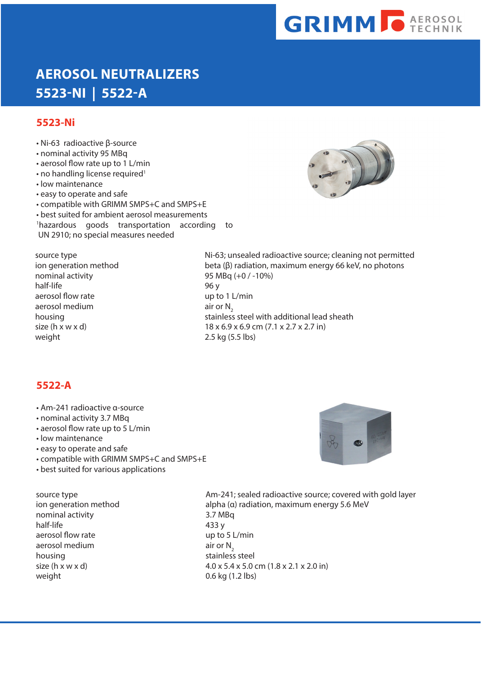# **GRIMM O AEROSOL**

## **AEROSOL NEUTRALIZERS 5523-NI | 5522-A**

#### **5523-Ni**

- Ni-63 radioactive β-source • nominal activity 95 MBq • aerosol flow rate up to 1 L/min  $\cdot$  no handling license required<sup>1</sup>
- 
- low maintenance
- easy to operate and safe
- compatible with GRIMM SMPS+C and SMPS+E
- best suited for ambient aerosol measurements
- 1 hazardous goods transportation according to
- UN 2910; no special measures needed



nominal activity 95 MBq (+0 / -10%) half-life 96 y aerosol flow rate up to 1 L/min aerosol medium air or  $N_2$ <br>housing stainless weight 2.5 kg (5.5 lbs)

source type **Ni-63**; unsealed radioactive source; cleaning not permitted ion generation method beta (β) radiation, maximum energy 66 keV, no photons stainless steel with additional lead sheath size (h x w x d) 18 x 6.9 x 6.9 cm (7.1 x 2.7 x 2.7 in)

### **5522-A**

- Am-241 radioactive α-source
- nominal activity 3.7 MBq
- aerosol flow rate up to 5 L/min
- low maintenance
- easy to operate and safe
- compatible with GRIMM SMPS+C and SMPS+E
- best suited for various applications

nominal activity 3.7 MBq half-life 433 y aerosol flow rate up to 5 L/min aerosol medium air or  $N_2$ <br>housing stainless weight 0.6 kg (1.2 lbs)

source type **AM-241;** sealed radioactive source; covered with gold layer ion generation method alpha (α) radiation, maximum energy 5.6 MeV stainless steel size (h x w x d) 4.0 x 5.4 x 5.0 cm (1.8 x 2.1 x 2.0 in)